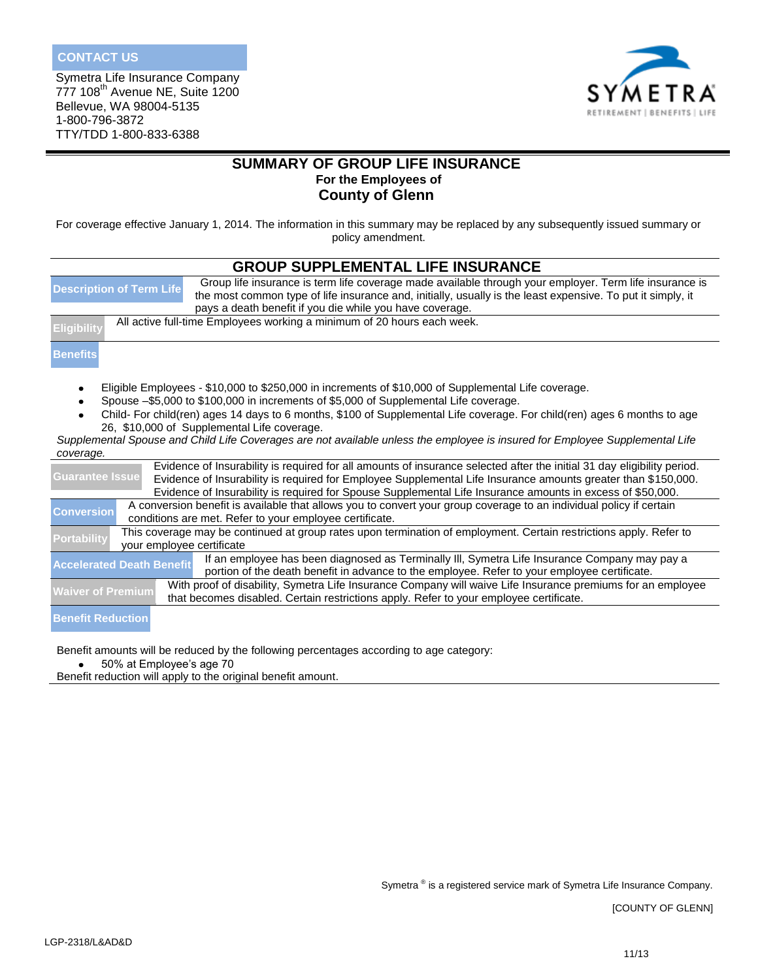Symetra Life Insurance Company 777 108th Avenue NE, Suite 1200 Bellevue, WA 98004-5135 1-800-796-3872 TTY/TDD 1-800-833-6388



# **SUMMARY OF GROUP LIFE INSURANCE For the Employees of County of Glenn**

For coverage effective January 1, 2014. The information in this summary may be replaced by any subsequently issued summary or policy amendment.

| <b>GROUP SUPPLEMENTAL LIFE INSURANCE</b>                                                                                                                                                                                                                                                                                                                                         |  |  |  |  |  |  |
|----------------------------------------------------------------------------------------------------------------------------------------------------------------------------------------------------------------------------------------------------------------------------------------------------------------------------------------------------------------------------------|--|--|--|--|--|--|
| Group life insurance is term life coverage made available through your employer. Term life insurance is<br><b>Description of Term Life</b><br>the most common type of life insurance and, initially, usually is the least expensive. To put it simply, it                                                                                                                        |  |  |  |  |  |  |
| pays a death benefit if you die while you have coverage.                                                                                                                                                                                                                                                                                                                         |  |  |  |  |  |  |
| All active full-time Employees working a minimum of 20 hours each week.<br>Eligibility                                                                                                                                                                                                                                                                                           |  |  |  |  |  |  |
| <b>Benefits</b>                                                                                                                                                                                                                                                                                                                                                                  |  |  |  |  |  |  |
| Eligible Employees - \$10,000 to \$250,000 in increments of \$10,000 of Supplemental Life coverage.                                                                                                                                                                                                                                                                              |  |  |  |  |  |  |
| Spouse -\$5,000 to \$100,000 in increments of \$5,000 of Supplemental Life coverage.                                                                                                                                                                                                                                                                                             |  |  |  |  |  |  |
| Child- For child(ren) ages 14 days to 6 months, \$100 of Supplemental Life coverage. For child(ren) ages 6 months to age<br>26, \$10,000 of Supplemental Life coverage.                                                                                                                                                                                                          |  |  |  |  |  |  |
| Supplemental Spouse and Child Life Coverages are not available unless the employee is insured for Employee Supplemental Life                                                                                                                                                                                                                                                     |  |  |  |  |  |  |
| coverage.                                                                                                                                                                                                                                                                                                                                                                        |  |  |  |  |  |  |
| Evidence of Insurability is required for all amounts of insurance selected after the initial 31 day eligibility period.<br><b>Guarantee Issue</b><br>Evidence of Insurability is required for Employee Supplemental Life Insurance amounts greater than \$150,000.<br>Evidence of Insurability is required for Spouse Supplemental Life Insurance amounts in excess of \$50,000. |  |  |  |  |  |  |
| A conversion benefit is available that allows you to convert your group coverage to an individual policy if certain<br><b>Conversion</b><br>conditions are met. Refer to your employee certificate.                                                                                                                                                                              |  |  |  |  |  |  |
| This coverage may be continued at group rates upon termination of employment. Certain restrictions apply. Refer to<br><b>Portability</b><br>your employee certificate                                                                                                                                                                                                            |  |  |  |  |  |  |
| If an employee has been diagnosed as Terminally III, Symetra Life Insurance Company may pay a<br><b>Accelerated Death Benefit</b><br>portion of the death benefit in advance to the employee. Refer to your employee certificate.                                                                                                                                                |  |  |  |  |  |  |
| With proof of disability, Symetra Life Insurance Company will waive Life Insurance premiums for an employee<br><b>Waiver of Premium</b><br>that becomes disabled. Certain restrictions apply. Refer to your employee certificate.                                                                                                                                                |  |  |  |  |  |  |
| <b>Benefit Reduction</b>                                                                                                                                                                                                                                                                                                                                                         |  |  |  |  |  |  |

Benefit amounts will be reduced by the following percentages according to age category:

 $\bullet$ 50% at Employee's age 70

Benefit reduction will apply to the original benefit amount.